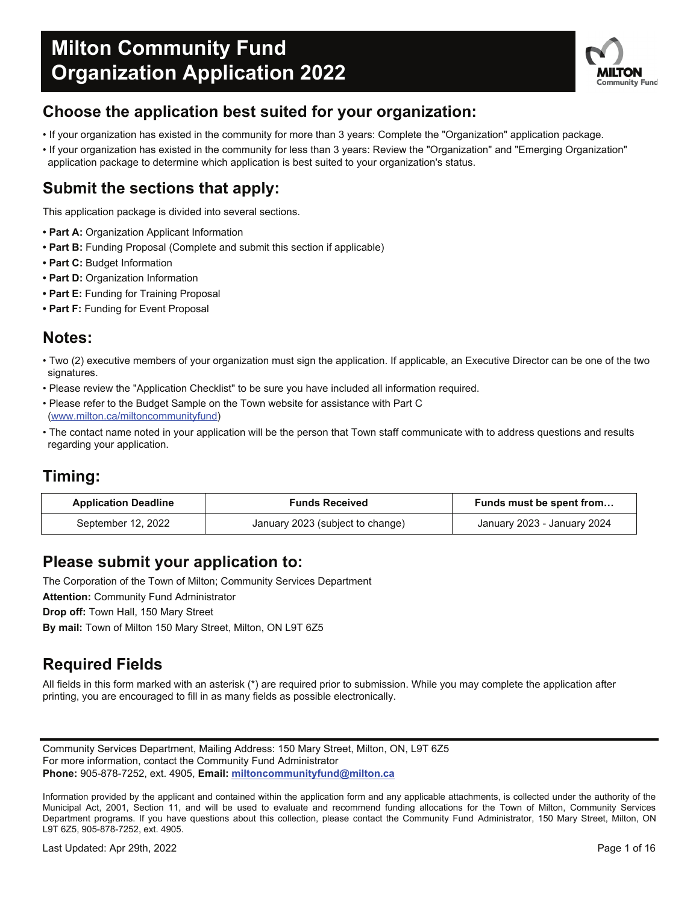

## **Choose the application best suited for your organization:**

- If your organization has existed in the community for more than 3 years: Complete the "Organization" application package.
- If your organization has existed in the community for less than 3 years: Review the "Organization" and "Emerging Organization" application package to determine which application is best suited to your organization's status.

### **Submit the sections that apply:**

This application package is divided into several sections.

- **Part A:** Organization Applicant Information
- **Part B:** Funding Proposal (Complete and submit this section if applicable)
- **Part C:** Budget Information
- **Part D:** Organization Information
- **Part E:** Funding for Training Proposal
- **Part F:** Funding for Event Proposal

### **Notes:**

- Two (2) executive members of your organization must sign the application. If applicable, an Executive Director can be one of the two signatures.
- Please review the "Application Checklist" to be sure you have included all information required.
- Please refer to the Budget Sample on the Town website for assistance with Part C (www.milton.ca/miltoncommunityfund)
- The contact name noted in your application will be the person that Town staff communicate with to address questions and results regarding your application.

### **Timing:**

| <b>Application Deadline</b> | <b>Funds Received</b>            |                             |  |
|-----------------------------|----------------------------------|-----------------------------|--|
| September 12, 2022          | January 2023 (subject to change) | January 2023 - January 2024 |  |

### **Please submit your application to:**

The Corporation of the Town of Milton; Community Services Department

**Attention:** Community Fund Administrator

**Drop off:** Town Hall, 150 Mary Street

**By mail:** Town of Milton 150 Mary Street, Milton, ON L9T 6Z5

### **Required Fields**

All fields in this form marked with an asterisk (\*) are required prior to submission. While you may complete the application after printing, you are encouraged to fill in as many fields as possible electronically.

Community Services Department, Mailing Address: 150 Mary Street, Milton, ON, L9T 6Z5 For more information, contact the Community Fund Administrator **Phone:** 905-878-7252, ext. 4905, **Email: miltoncommunityfund@milton.ca**

Information provided by the applicant and contained within the application form and any applicable attachments, is collected under the authority of the Municipal Act, 2001, Section 11, and will be used to evaluate and recommend funding allocations for the Town of Milton, Community Services Department programs. If you have questions about this collection, please contact the Community Fund Administrator, 150 Mary Street, Milton, ON L9T 6Z5, 905-878-7252, ext. 4905.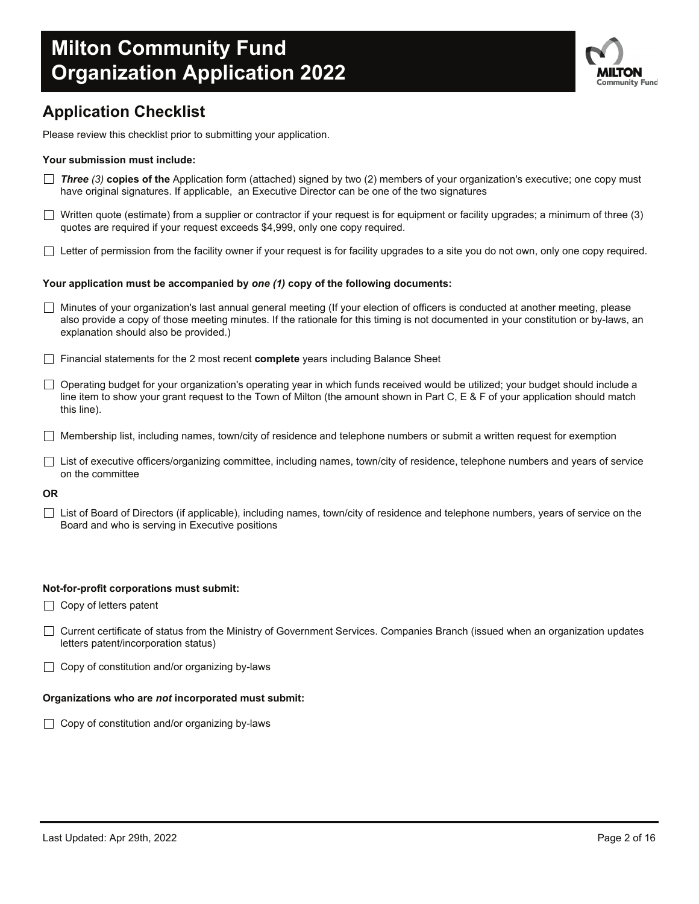

## **Application Checklist**

Please review this checklist prior to submitting your application.

#### **Your submission must include:**

- *Three (3)* **copies of the** Application form (attached) signed by two (2) members of your organization's executive; one copy must have original signatures. If applicable, an Executive Director can be one of the two signatures
- Written quote (estimate) from a supplier or contractor if your request is for equipment or facility upgrades; a minimum of three  $(3)$ quotes are required if your request exceeds \$4,999, only one copy required.
- $\Box$  Letter of permission from the facility owner if your request is for facility upgrades to a site you do not own, only one copy required.

#### **Your application must be accompanied by** *one (1)* **copy of the following documents:**

- □ Minutes of your organization's last annual general meeting (If your election of officers is conducted at another meeting, please also provide a copy of those meeting minutes. If the rationale for this timing is not documented in your constitution or by-laws, an explanation should also be provided.)
- Financial statements for the 2 most recent **complete** years including Balance Sheet
- $\Box$  Operating budget for your organization's operating year in which funds received would be utilized; your budget should include a line item to show your grant request to the Town of Milton (the amount shown in Part C, E & F of your application should match this line).
- $\Box$  Membership list, including names, town/city of residence and telephone numbers or submit a written request for exemption
- $\Box$  List of executive officers/organizing committee, including names, town/city of residence, telephone numbers and years of service on the committee

**OR**

 $\Box$  List of Board of Directors (if applicable), including names, town/city of residence and telephone numbers, years of service on the Board and who is serving in Executive positions

#### **Not-for-profit corporations must submit:**

- $\Box$  Copy of letters patent
- Current certificate of status from the Ministry of Government Services. Companies Branch (issued when an organization updates letters patent/incorporation status)
- $\Box$  Copy of constitution and/or organizing by-laws

#### **Organizations who are** *not* **incorporated must submit:**

 $\Box$  Copy of constitution and/or organizing by-laws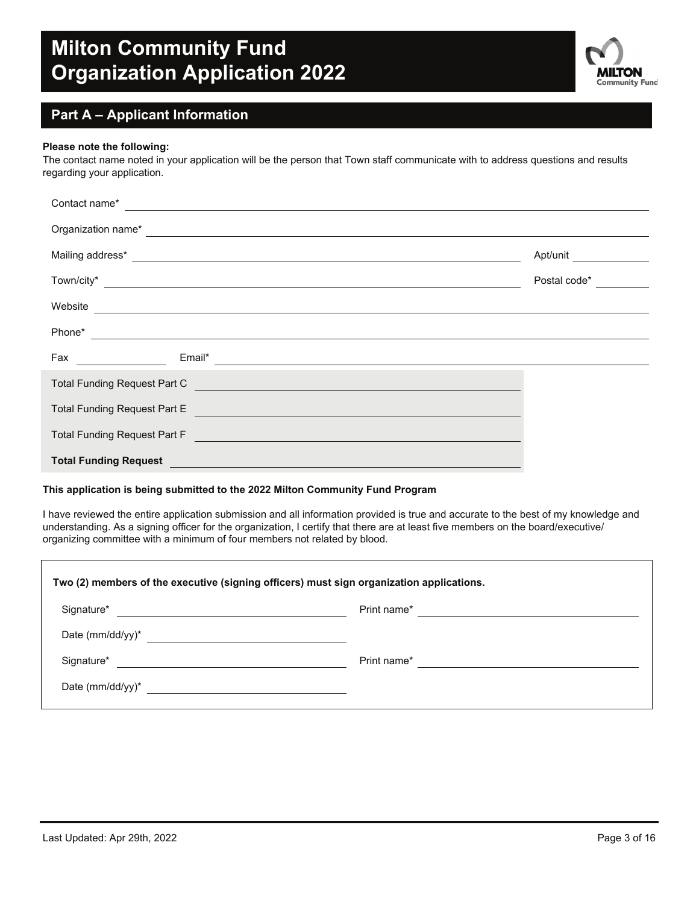

### **Part A – Applicant Information**

#### **Please note the following:**

The contact name noted in your application will be the person that Town staff communicate with to address questions and results regarding your application.

| Contact name*<br><u> 1989 - Andrea Barbara, politikar esperantor e al manera de la contrada de la contrada de la contrada de la c</u>    |              |  |  |  |  |  |
|------------------------------------------------------------------------------------------------------------------------------------------|--------------|--|--|--|--|--|
| Organization name*                                                                                                                       |              |  |  |  |  |  |
| Mailing address*<br><u> 1980 - Johann Stein, marwolaethau a bhann an t-Amhain an t-Amhain an t-Amhain an t-Amhain an t-Amhain an t-A</u> | Apt/unit     |  |  |  |  |  |
| Town/city*<br><u> 1980 - Antonio Alemania, prima postala de la contrada de la contrada de la contrada de la contrada de la con</u>       | Postal code* |  |  |  |  |  |
| Website                                                                                                                                  |              |  |  |  |  |  |
| Phone*                                                                                                                                   |              |  |  |  |  |  |
| Fax<br>Email*<br><u> 1990 - Jan Jawa</u><br><u> 1989 - Andrea Stadt Britain, fransk politik (d. 1989)</u>                                |              |  |  |  |  |  |
| Total Funding Request Part C                                                                                                             |              |  |  |  |  |  |
| Total Funding Request Part E                                                                                                             |              |  |  |  |  |  |
| Total Funding Request Part F                                                                                                             |              |  |  |  |  |  |
| <b>Total Funding Request</b>                                                                                                             |              |  |  |  |  |  |

#### **This application is being submitted to the 2022 Milton Community Fund Program**

I have reviewed the entire application submission and all information provided is true and accurate to the best of my knowledge and understanding. As a signing officer for the organization, I certify that there are at least five members on the board/executive/ organizing committee with a minimum of four members not related by blood.

| Two (2) members of the executive (signing officers) must sign organization applications. |             |  |  |  |  |
|------------------------------------------------------------------------------------------|-------------|--|--|--|--|
| Signature*                                                                               | Print name* |  |  |  |  |
| Date (mm/dd/yy) $*$<br><u> 1989 - Andrea Andrew Maria (h. 1989).</u>                     |             |  |  |  |  |
| Signature*                                                                               | Print name* |  |  |  |  |
| Date (mm/dd/yy)*                                                                         |             |  |  |  |  |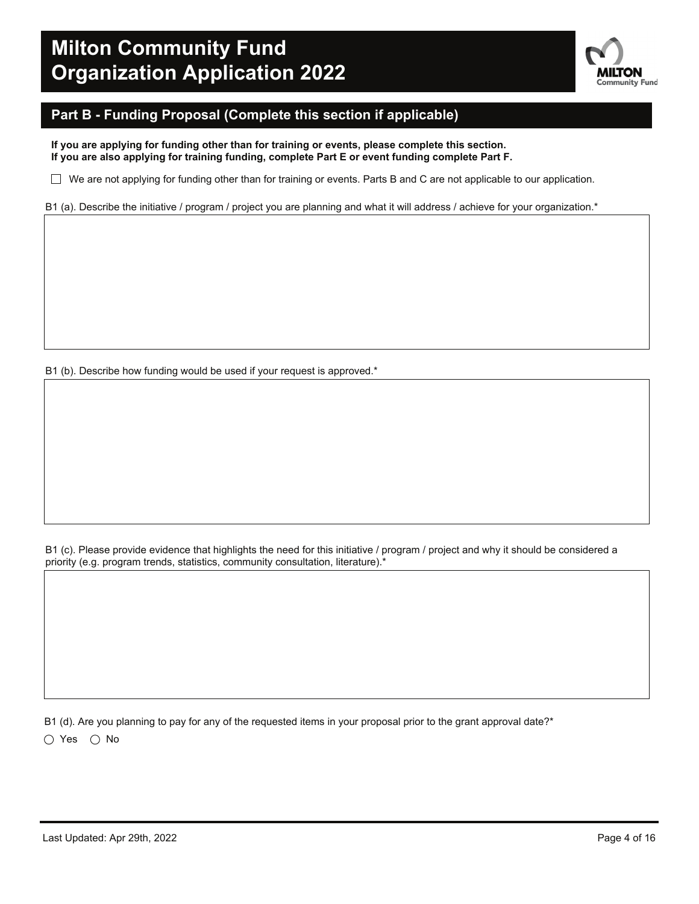

### **Part B - Funding Proposal (Complete this section if applicable)**

**If you are applying for funding other than for training or events, please complete this section. If you are also applying for training funding, complete Part E or event funding complete Part F.**

 $\Box$  We are not applying for funding other than for training or events. Parts B and C are not applicable to our application.

B1 (a). Describe the initiative / program / project you are planning and what it will address / achieve for your organization.\*

B1 (b). Describe how funding would be used if your request is approved.\*

B1 (c). Please provide evidence that highlights the need for this initiative / program / project and why it should be considered a priority (e.g. program trends, statistics, community consultation, literature).\*

B1 (d). Are you planning to pay for any of the requested items in your proposal prior to the grant approval date?\*  $\bigcirc$  Yes  $\bigcirc$  No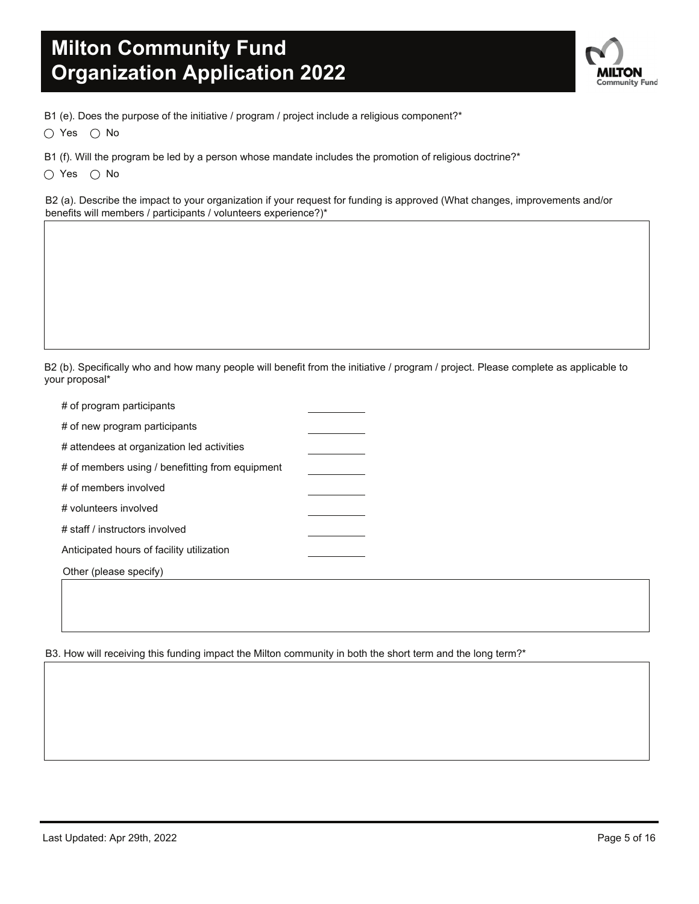**NLTON Community Fund** 

B1 (e). Does the purpose of the initiative / program / project include a religious component?\*

 $\bigcirc$  Yes  $\bigcirc$  No

B1 (f). Will the program be led by a person whose mandate includes the promotion of religious doctrine?\*

 $\bigcirc$  Yes  $\bigcirc$  No

B2 (a). Describe the impact to your organization if your request for funding is approved (What changes, improvements and/or benefits will members / participants / volunteers experience?)\*

B2 (b). Specifically who and how many people will benefit from the initiative / program / project. Please complete as applicable to your proposal\*

| # of program participants                       |  |
|-------------------------------------------------|--|
| # of new program participants                   |  |
| # attendees at organization led activities      |  |
| # of members using / benefitting from equipment |  |
| # of members involved                           |  |
| # volunteers involved                           |  |
| # staff / instructors involved                  |  |
| Anticipated hours of facility utilization       |  |
| Other (please specify)                          |  |

B3. How will receiving this funding impact the Milton community in both the short term and the long term?\*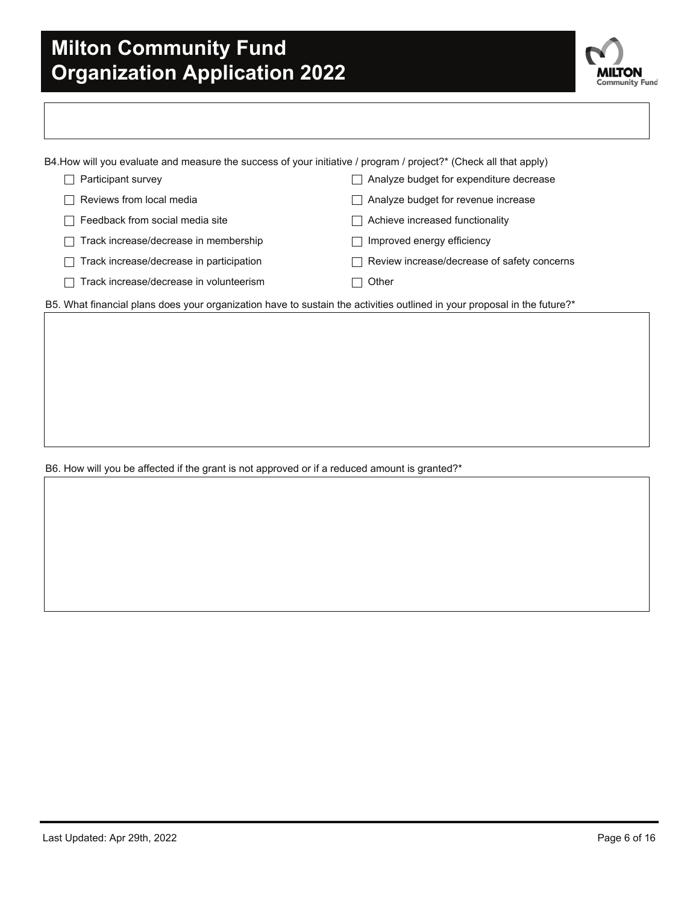

| B4.How will you evaluate and measure the success of your initiative / program / project?* (Check all that apply) |                                             |
|------------------------------------------------------------------------------------------------------------------|---------------------------------------------|
| Participant survey                                                                                               | Analyze budget for expenditure decrease     |
| Reviews from local media<br>$\blacksquare$                                                                       | Analyze budget for revenue increase         |
| Feedback from social media site                                                                                  | Achieve increased functionality             |
| Track increase/decrease in membership                                                                            | Improved energy efficiency                  |
| Track increase/decrease in participation                                                                         | Review increase/decrease of safety concerns |
| Track increase/decrease in volunteerism                                                                          | Other                                       |

B5. What financial plans does your organization have to sustain the activities outlined in your proposal in the future?\*

B6. How will you be affected if the grant is not approved or if a reduced amount is granted?\*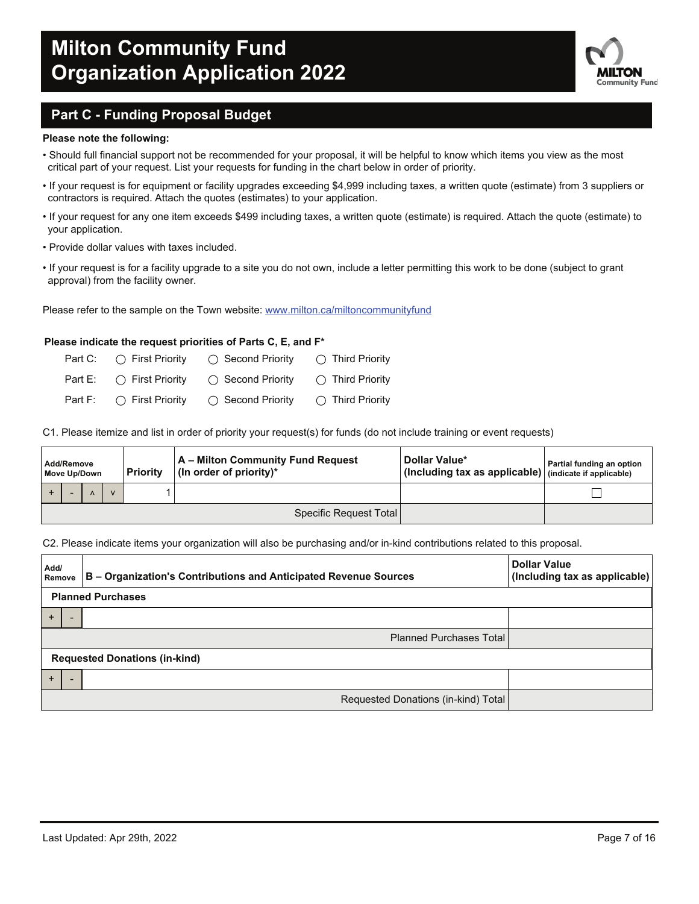

### **Part C - Funding Proposal Budget**

#### **Please note the following:**

- Should full financial support not be recommended for your proposal, it will be helpful to know which items you view as the most critical part of your request. List your requests for funding in the chart below in order of priority.
- If your request is for equipment or facility upgrades exceeding \$4,999 including taxes, a written quote (estimate) from 3 suppliers or contractors is required. Attach the quotes (estimates) to your application.
- If your request for any one item exceeds \$499 including taxes, a written quote (estimate) is required. Attach the quote (estimate) to your application.
- Provide dollar values with taxes included.
- If your request is for a facility upgrade to a site you do not own, include a letter permitting this work to be done (subject to grant approval) from the facility owner.

Please refer to the sample on the Town website: www.milton.ca/miltoncommunityfund

#### **Please indicate the request priorities of Parts C, E, and F\***

| Part C: $\bigcirc$ First Priority | $\bigcirc$ Second Priority                                   | $\bigcap$ Third Priority  |
|-----------------------------------|--------------------------------------------------------------|---------------------------|
|                                   | Part E: $\bigcirc$ First Priority $\bigcirc$ Second Priority | $\bigcirc$ Third Priority |
| Part F: $\bigcirc$ First Priority | ◯ Second Priority                                            | $\bigcirc$ Third Priority |

C1. Please itemize and list in order of priority your request(s) for funds (do not include training or event requests)

| A – Milton Community Fund Request<br>Add/Remove<br>(In order of priority)*<br><b>Priority</b><br>Move Up/Down |  |  |                        | Dollar Value*<br>(Including tax as applicable) (indicate if applicable) | Partial funding an option |
|---------------------------------------------------------------------------------------------------------------|--|--|------------------------|-------------------------------------------------------------------------|---------------------------|
|                                                                                                               |  |  |                        |                                                                         |                           |
|                                                                                                               |  |  | Specific Request Total |                                                                         |                           |

#### C2. Please indicate items your organization will also be purchasing and/or in-kind contributions related to this proposal.

| Add/<br>Remove | B - Organization's Contributions and Anticipated Revenue Sources | <b>Dollar Value</b><br>(Including tax as applicable) |  |  |  |  |  |
|----------------|------------------------------------------------------------------|------------------------------------------------------|--|--|--|--|--|
|                | <b>Planned Purchases</b>                                         |                                                      |  |  |  |  |  |
| $\div$         |                                                                  |                                                      |  |  |  |  |  |
|                | <b>Planned Purchases Total</b>                                   |                                                      |  |  |  |  |  |
|                | <b>Requested Donations (in-kind)</b>                             |                                                      |  |  |  |  |  |
| $\ddot{}$      |                                                                  |                                                      |  |  |  |  |  |
|                | Requested Donations (in-kind) Total                              |                                                      |  |  |  |  |  |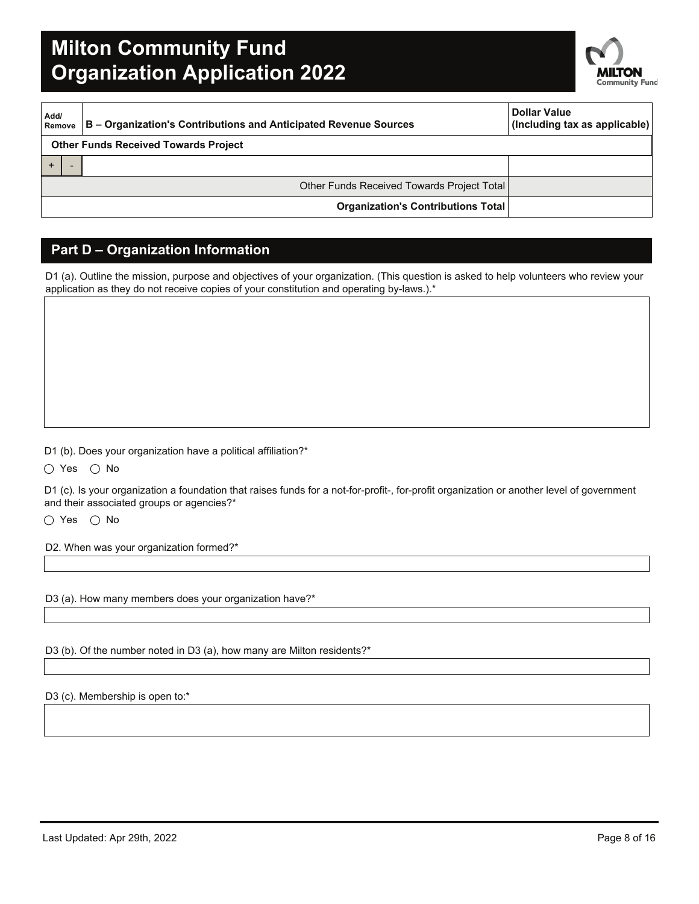

| Add/<br>Remove | B – Organization's Contributions and Anticipated Revenue Sources | <b>Dollar Value</b><br>(Including tax as applicable) |
|----------------|------------------------------------------------------------------|------------------------------------------------------|
|                | <b>Other Funds Received Towards Project</b>                      |                                                      |
|                |                                                                  |                                                      |
|                | Other Funds Received Towards Project Total                       |                                                      |
|                | Organization's Contributions Total                               |                                                      |

### **Part D – Organization Information**

D1 (a). Outline the mission, purpose and objectives of your organization. (This question is asked to help volunteers who review your application as they do not receive copies of your constitution and operating by-laws.).\*

D1 (b). Does your organization have a political affiliation?\*

 $\bigcirc$  Yes  $\bigcirc$  No

D1 (c). Is your organization a foundation that raises funds for a not-for-profit-, for-profit organization or another level of government and their associated groups or agencies?\*

 $\bigcirc$  Yes  $\bigcirc$  No

D2. When was your organization formed?\*

D3 (a). How many members does your organization have?\*

D3 (b). Of the number noted in D3 (a), how many are Milton residents?\*

D3 (c). Membership is open to:\*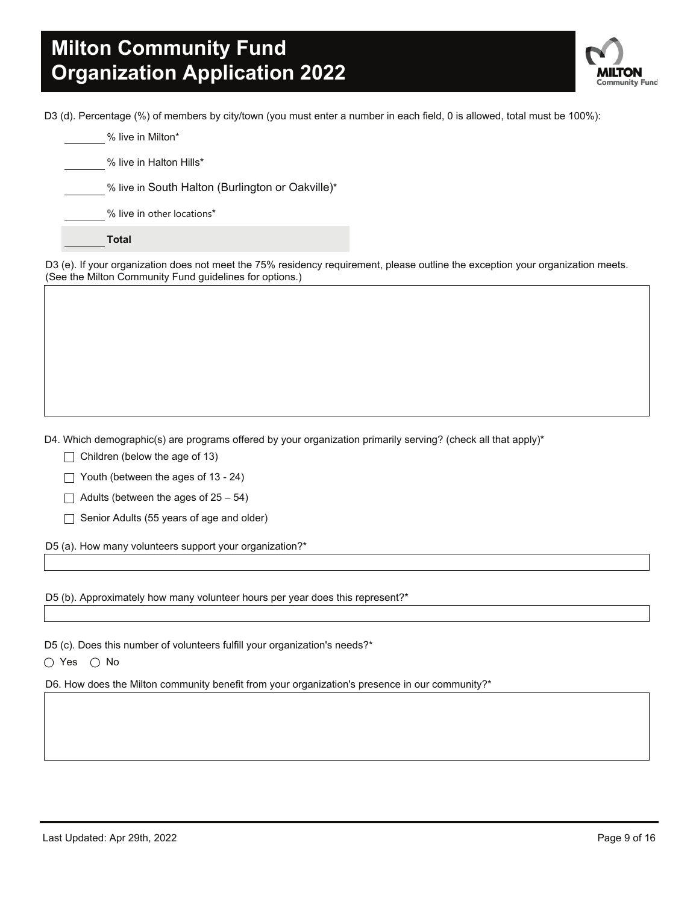

D3 (d). Percentage (%) of members by city/town (you must enter a number in each field, 0 is allowed, total must be 100%):

% live in Milton\*

% live in Halton Hills\*

% live in South Halton (Burlington or Oakville)\*

% live in other locations\*

**Total**

D3 (e). If your organization does not meet the 75% residency requirement, please outline the exception your organization meets. (See the Milton Community Fund guidelines for options.)

D4. Which demographic(s) are programs offered by your organization primarily serving? (check all that apply)\*

- $\Box$  Children (below the age of 13)
- $\Box$  Youth (between the ages of 13 24)
- $\Box$  Adults (between the ages of 25 54)
- $\Box$  Senior Adults (55 years of age and older)

D5 (a). How many volunteers support your organization?\*

D5 (b). Approximately how many volunteer hours per year does this represent?\*

D5 (c). Does this number of volunteers fulfill your organization's needs?\*

 $\bigcirc$  Yes  $\bigcirc$  No

D6. How does the Milton community benefit from your organization's presence in our community?\*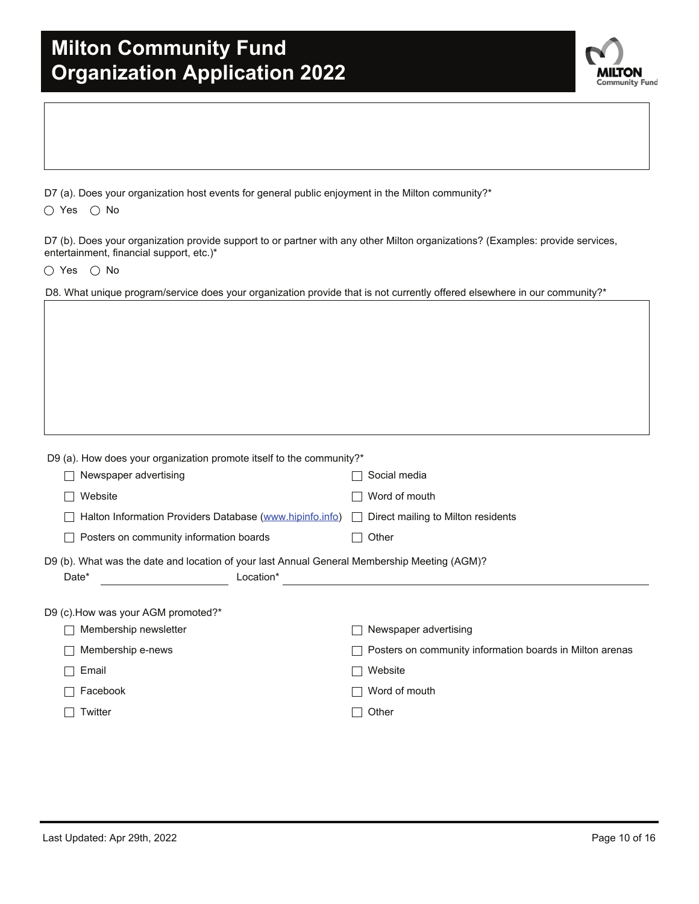| <b>Milton Community Fund</b>         |  |  |
|--------------------------------------|--|--|
| <b>Organization Application 2022</b> |  |  |



D7 (a). Does your organization host events for general public enjoyment in the Milton community?\*

 $\bigcirc$  Yes  $\bigcirc$  No

D7 (b). Does your organization provide support to or partner with any other Milton organizations? (Examples: provide services, entertainment, financial support, etc.)\*

 $\bigcirc$  Yes  $\bigcirc$  No

|  | D8. What unique program/service does your organization provide that is not currently offered elsewhere in our community?* |  |  |  |  |  |
|--|---------------------------------------------------------------------------------------------------------------------------|--|--|--|--|--|
|  |                                                                                                                           |  |  |  |  |  |

| D9 (a). How does your organization promote itself to the community?*                                               |                                                          |  |  |  |  |
|--------------------------------------------------------------------------------------------------------------------|----------------------------------------------------------|--|--|--|--|
| Newspaper advertising                                                                                              | Social media                                             |  |  |  |  |
| Website                                                                                                            | Word of mouth                                            |  |  |  |  |
| Halton Information Providers Database (www.hipinfo.info)                                                           | Direct mailing to Milton residents                       |  |  |  |  |
| Posters on community information boards                                                                            | Other                                                    |  |  |  |  |
| D9 (b). What was the date and location of your last Annual General Membership Meeting (AGM)?<br>Date*<br>Location* |                                                          |  |  |  |  |
| D9 (c). How was your AGM promoted?*                                                                                |                                                          |  |  |  |  |
| Membership newsletter                                                                                              | Newspaper advertising                                    |  |  |  |  |
| Membership e-news                                                                                                  | Posters on community information boards in Milton arenas |  |  |  |  |
| Email                                                                                                              | Website                                                  |  |  |  |  |
| Facebook                                                                                                           | Word of mouth                                            |  |  |  |  |
| Twitter                                                                                                            | Other                                                    |  |  |  |  |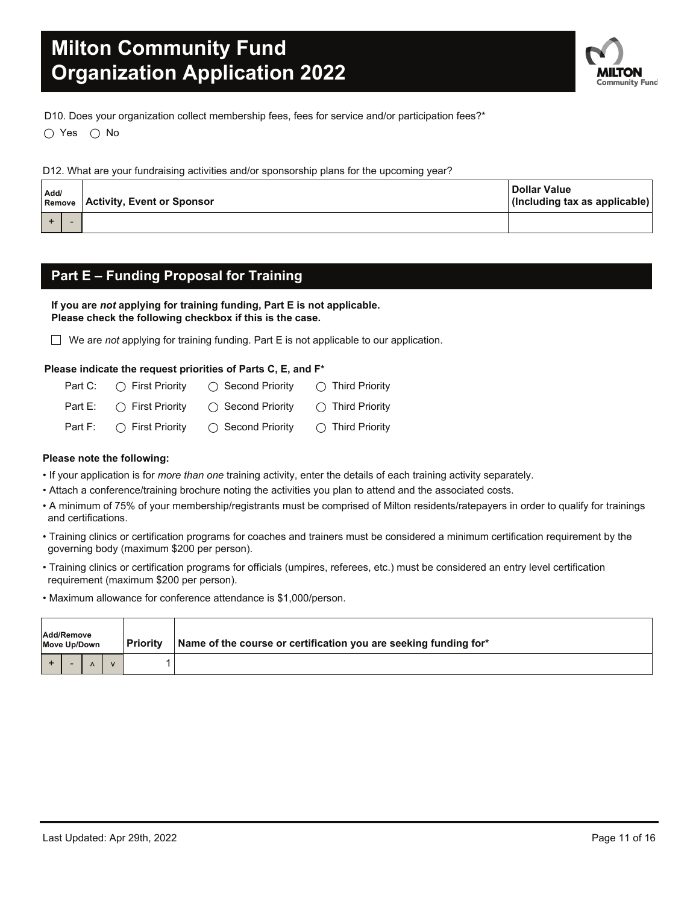

D10. Does your organization collect membership fees, fees for service and/or participation fees?\*

 $\bigcirc$  Yes  $\bigcirc$  No

D12. What are your fundraising activities and/or sponsorship plans for the upcoming year?

| Add/ |  | <b>Remove   Activity, Event or Sponsor</b> | <b>Dollar Value</b><br>(Including tax as applicable) |
|------|--|--------------------------------------------|------------------------------------------------------|
|      |  |                                            |                                                      |

### **Part E – Funding Proposal for Training**

**If you are** *not* **applying for training funding, Part E is not applicable. Please check the following checkbox if this is the case.**

We are *not* applying for training funding. Part E is not applicable to our application.

#### **Please indicate the request priorities of Parts C, E, and F\***

| Part C: $\bigcirc$ First Priority | $\bigcirc$ Second Priority | $\bigcirc$ Third Priority |
|-----------------------------------|----------------------------|---------------------------|
| Part E: $\bigcap$ First Priority  | ◯ Second Prioritv          | $\bigcirc$ Third Priority |
| Part F: $\bigcirc$ First Priority | $\bigcirc$ Second Priority | $\bigcirc$ Third Priority |

#### **Please note the following:**

- If your application is for *more than one* training activity, enter the details of each training activity separately.
- Attach a conference/training brochure noting the activities you plan to attend and the associated costs.
- A minimum of 75% of your membership/registrants must be comprised of Milton residents/ratepayers in order to qualify for trainings and certifications.
- Training clinics or certification programs for coaches and trainers must be considered a minimum certification requirement by the governing body (maximum \$200 per person).
- Training clinics or certification programs for officials (umpires, referees, etc.) must be considered an entry level certification requirement (maximum \$200 per person).
- Maximum allowance for conference attendance is \$1,000/person.

| Add/Remove<br>Move Up/Down |  |  | <b>Priority</b> |  | Name of the course or certification you are seeking funding for* |
|----------------------------|--|--|-----------------|--|------------------------------------------------------------------|
|                            |  |  |                 |  |                                                                  |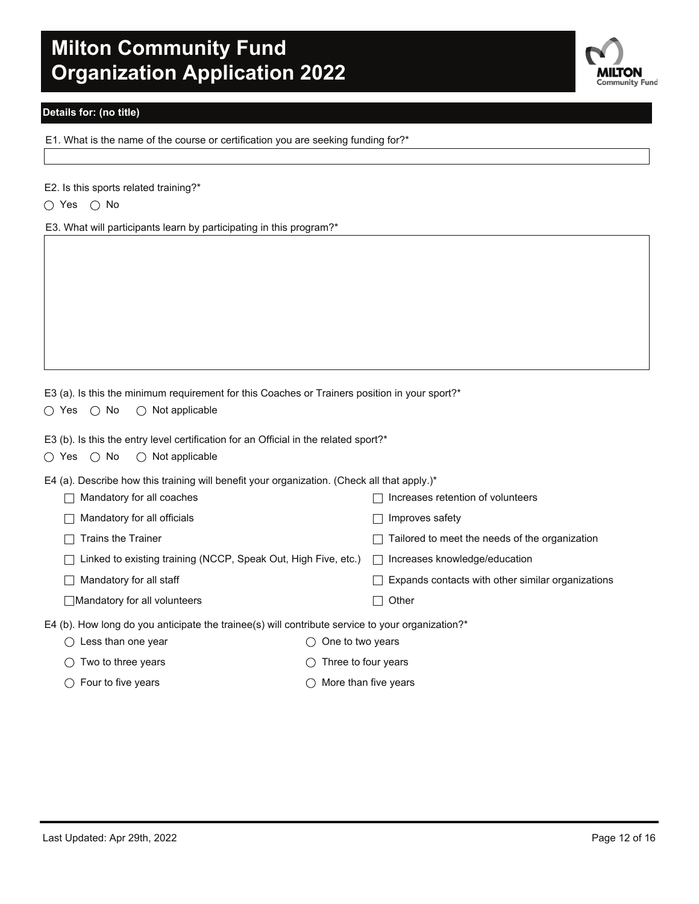

#### **Details for: (no title)**

E1. What is the name of the course or certification you are seeking funding for?\*

|  |  | E2. Is this sports related training?* |
|--|--|---------------------------------------|
|  |  |                                       |

 $\bigcirc$  Yes  $\bigcirc$  No

E3. What will participants learn by participating in this program?\*

|  |  | E3 (a). Is this the minimum requirement for this Coaches or Trainers position in your sport?* |  |  |  |  |
|--|--|-----------------------------------------------------------------------------------------------|--|--|--|--|
|  |  |                                                                                               |  |  |  |  |

 $\bigcirc$  Yes  $\bigcirc$  No  $\bigcirc$  Not applicable

E3 (b). Is this the entry level certification for an Official in the related sport?\*

|  | $\bigcirc$ Yes $\bigcirc$ No | $\bigcirc$ Not applicable |
|--|------------------------------|---------------------------|
|  |                              |                           |

E4 (a). Describe how this training will benefit your organization. (Check all that apply.)\*

| Mandatory for all coaches                                                                           |                  | Increases retention of volunteers                                   |
|-----------------------------------------------------------------------------------------------------|------------------|---------------------------------------------------------------------|
| Mandatory for all officials                                                                         |                  | Improves safety                                                     |
| <b>Trains the Trainer</b>                                                                           |                  | Tailored to meet the needs of the organization                      |
| Linked to existing training (NCCP, Speak Out, High Five, etc.) $\Box$ Increases knowledge/education |                  |                                                                     |
| Mandatory for all staff                                                                             |                  | Expands contacts with other similar organizations  <br>$\mathbf{I}$ |
| Mandatory for all volunteers                                                                        |                  | Other                                                               |
| E4 (b). How long do you anticipate the trainee(s) will contribute service to your organization?*    |                  |                                                                     |
| Less than one year                                                                                  | One to two years |                                                                     |
|                                                                                                     |                  |                                                                     |

- $\bigcirc$  Two to three years  $\bigcirc$  Three to four years
- $\bigcirc$  Four to five years  $\bigcirc$  More than five years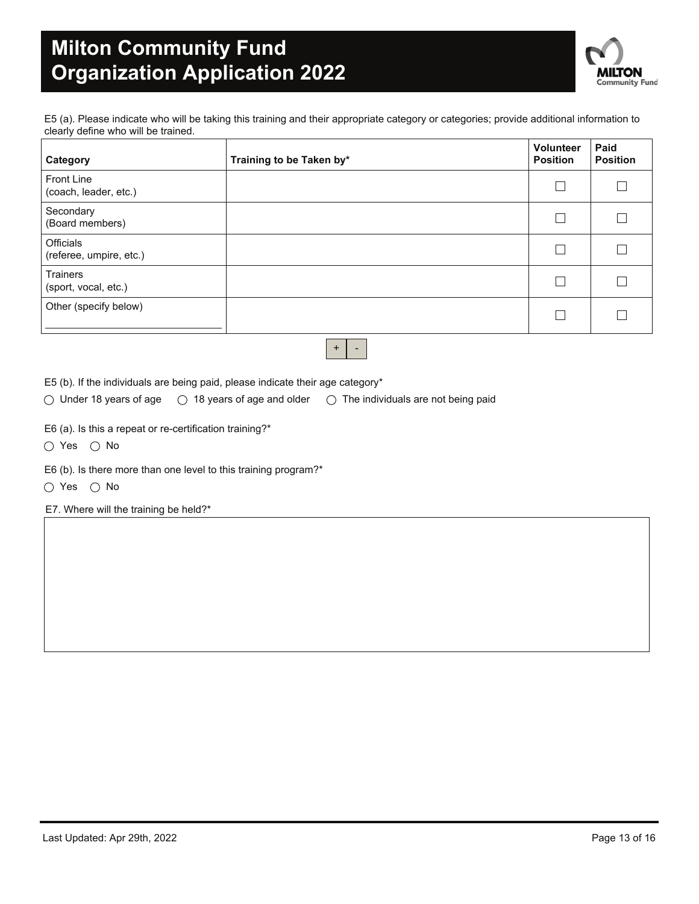

E5 (a). Please indicate who will be taking this training and their appropriate category or categories; provide additional information to clearly define who will be trained.

| Category                                   | Training to be Taken by* | <b>Volunteer</b><br><b>Position</b> | Paid<br><b>Position</b> |
|--------------------------------------------|--------------------------|-------------------------------------|-------------------------|
| <b>Front Line</b><br>(coach, leader, etc.) |                          | 己                                   |                         |
| Secondary<br>(Board members)               |                          | $\mathcal{L}_{\mathcal{A}}$         |                         |
| Officials<br>(referee, umpire, etc.)       |                          | $\sim$                              |                         |
| <b>Trainers</b><br>(sport, vocal, etc.)    |                          | $\vert \ \ \vert$                   |                         |
| Other (specify below)                      |                          |                                     |                         |
|                                            |                          |                                     |                         |

 $+$   $-$ 

E5 (b). If the individuals are being paid, please indicate their age category\*

 $\circlearrowright$  Under 18 years of age  $\circlearrowright$  18 years of age and older  $\circlearrowright$  The individuals are not being paid

E6 (a). Is this a repeat or re-certification training?\*

 $\bigcirc$  Yes  $\bigcirc$  No

E6 (b). Is there more than one level to this training program?\*

 $\bigcirc$  Yes  $\bigcirc$  No

E7. Where will the training be held?\*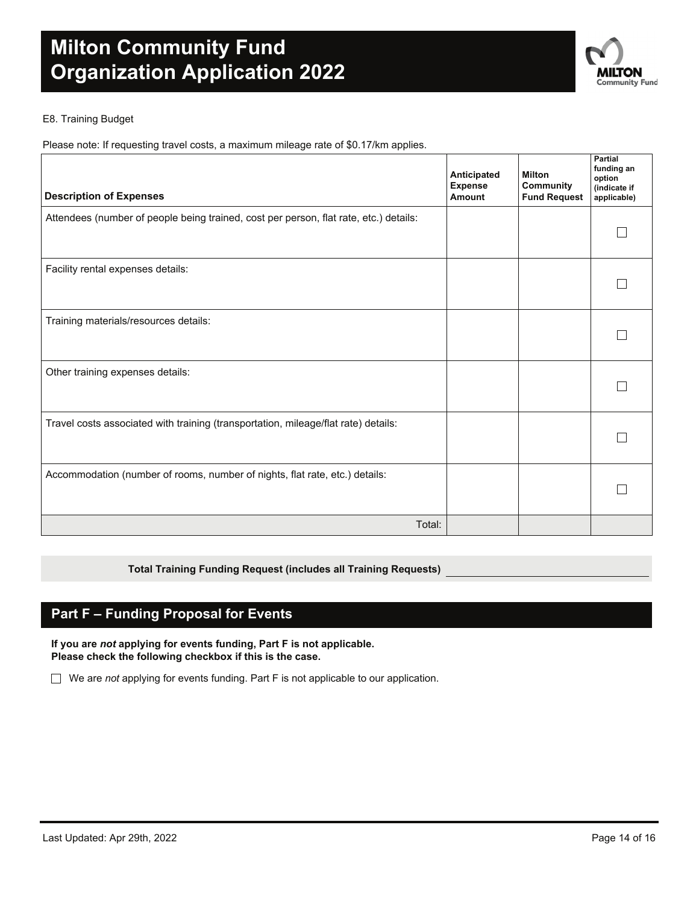

#### E8. Training Budget

Please note: If requesting travel costs, a maximum mileage rate of \$0.17/km applies.

| <b>Description of Expenses</b>                                                        | Anticipated<br><b>Expense</b><br>Amount | Milton<br>Community<br><b>Fund Request</b> | Partial<br>funding an<br>option<br>(indicate if<br>applicable) |
|---------------------------------------------------------------------------------------|-----------------------------------------|--------------------------------------------|----------------------------------------------------------------|
| Attendees (number of people being trained, cost per person, flat rate, etc.) details: |                                         |                                            |                                                                |
| Facility rental expenses details:                                                     |                                         |                                            |                                                                |
| Training materials/resources details:                                                 |                                         |                                            |                                                                |
| Other training expenses details:                                                      |                                         |                                            |                                                                |
| Travel costs associated with training (transportation, mileage/flat rate) details:    |                                         |                                            |                                                                |
| Accommodation (number of rooms, number of nights, flat rate, etc.) details:           |                                         |                                            |                                                                |
| Total:                                                                                |                                         |                                            |                                                                |

#### **Total Training Funding Request (includes all Training Requests)**

### **Part F – Funding Proposal for Events**

**If you are** *not* **applying for events funding, Part F is not applicable. Please check the following checkbox if this is the case.**

We are *not* applying for events funding. Part F is not applicable to our application.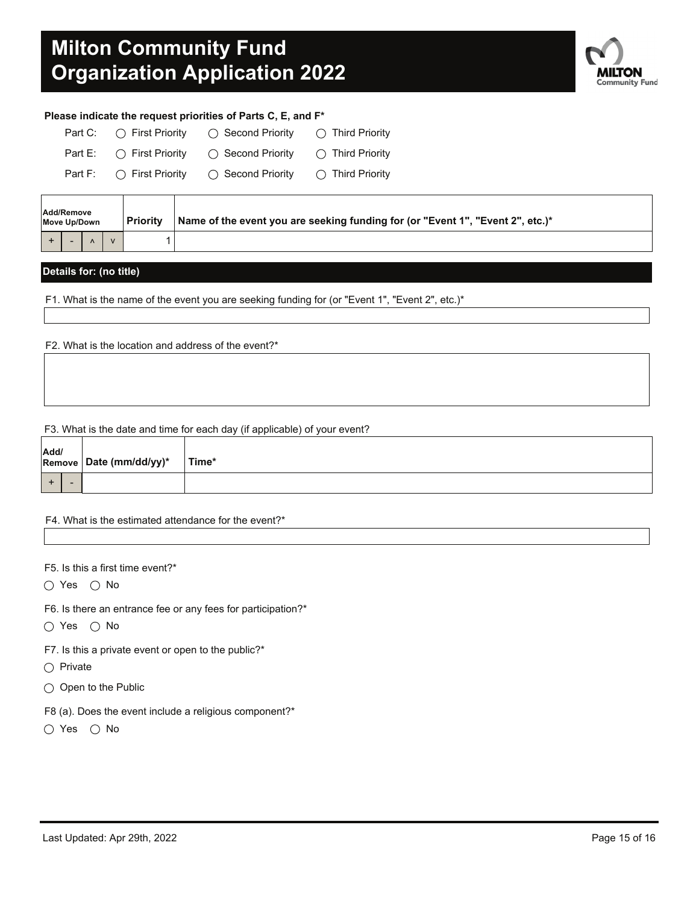

#### **Please indicate the request priorities of Parts C, E, and F\***

| Part C: $\bigcap$ First Priority | $\bigcirc$ Second Priority | $\bigcirc$ Third Priority |
|----------------------------------|----------------------------|---------------------------|
| Part E: $\bigcap$ First Priority | ◯ Second Priority          | $\bigcap$ Third Priority  |
| Part F: $\bigcap$ First Priority | ◯ Second Priority          | $\bigcirc$ Third Priority |

| Add/Remove<br>Move Up/Down |  | Priority | Name of the event you are seeking funding for (or "Event 1", "Event 2", etc.)* |  |
|----------------------------|--|----------|--------------------------------------------------------------------------------|--|
|                            |  |          |                                                                                |  |

#### **Details for: (no title)**

F1. What is the name of the event you are seeking funding for (or "Event 1", "Event 2", etc.)\*

F2. What is the location and address of the event?\*

#### F3. What is the date and time for each day (if applicable) of your event?

| Add/ |  | Remove Date (mm/dd/yy)* | Time* |
|------|--|-------------------------|-------|
|      |  |                         |       |

#### F4. What is the estimated attendance for the event?\*

F5. Is this a first time event?\*

 $\bigcirc$  Yes  $\bigcirc$  No

F6. Is there an entrance fee or any fees for participation?\*

- $\bigcirc$  Yes  $\bigcirc$  No
- F7. Is this a private event or open to the public?\*
- $\bigcap$  Private
- $\bigcirc$  Open to the Public
- F8 (a). Does the event include a religious component?\*
- $\bigcirc$  Yes  $\bigcirc$  No